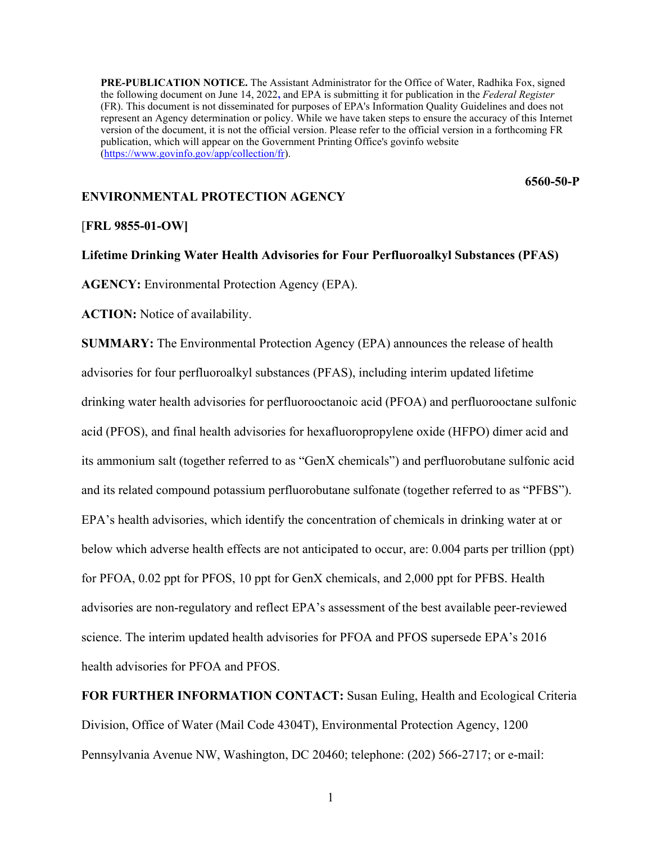**PRE-PUBLICATION NOTICE.** The Assistant Administrator for the Office of Water, Radhika Fox, signed the following document on June 14, 2022**,** and EPA is submitting it for publication in the *Federal Register* (FR). This document is not disseminated for purposes of EPA's Information Quality Guidelines and does not represent an Agency determination or policy. While we have taken steps to ensure the accuracy of this Internet version of the document, it is not the official version. Please refer to the official version in a forthcoming FR publication, which will appear on the Government Printing Office's govinfo website [\(https://www.govinfo.gov/app/collection/fr\)](https://www.govinfo.gov/app/collection/fr).

**6560-50-P**

# **ENVIRONMENTAL PROTECTION AGENCY**

## [**FRL 9855-01-OW]**

**Lifetime Drinking Water Health Advisories for Four Perfluoroalkyl Substances (PFAS)**

**AGENCY:** Environmental Protection Agency (EPA).

**ACTION:** Notice of availability.

**SUMMARY:** The Environmental Protection Agency (EPA) announces the release of health advisories for four perfluoroalkyl substances (PFAS), including interim updated lifetime drinking water health advisories for perfluorooctanoic acid (PFOA) and perfluorooctane sulfonic acid (PFOS), and final health advisories for hexafluoropropylene oxide (HFPO) dimer acid and its ammonium salt (together referred to as "GenX chemicals") and perfluorobutane sulfonic acid and its related compound potassium perfluorobutane sulfonate (together referred to as "PFBS"). EPA's health advisories, which identify the concentration of chemicals in drinking water at or below which adverse health effects are not anticipated to occur, are: 0.004 parts per trillion (ppt) for PFOA, 0.02 ppt for PFOS, 10 ppt for GenX chemicals, and 2,000 ppt for PFBS. Health advisories are non-regulatory and reflect EPA's assessment of the best available peer-reviewed science. The interim updated health advisories for PFOA and PFOS supersede EPA's 2016 health advisories for PFOA and PFOS.

**FOR FURTHER INFORMATION CONTACT:** Susan Euling, Health and Ecological Criteria Division, Office of Water (Mail Code 4304T), Environmental Protection Agency, 1200 Pennsylvania Avenue NW, Washington, DC 20460; telephone: (202) 566-2717; or e-mail:

1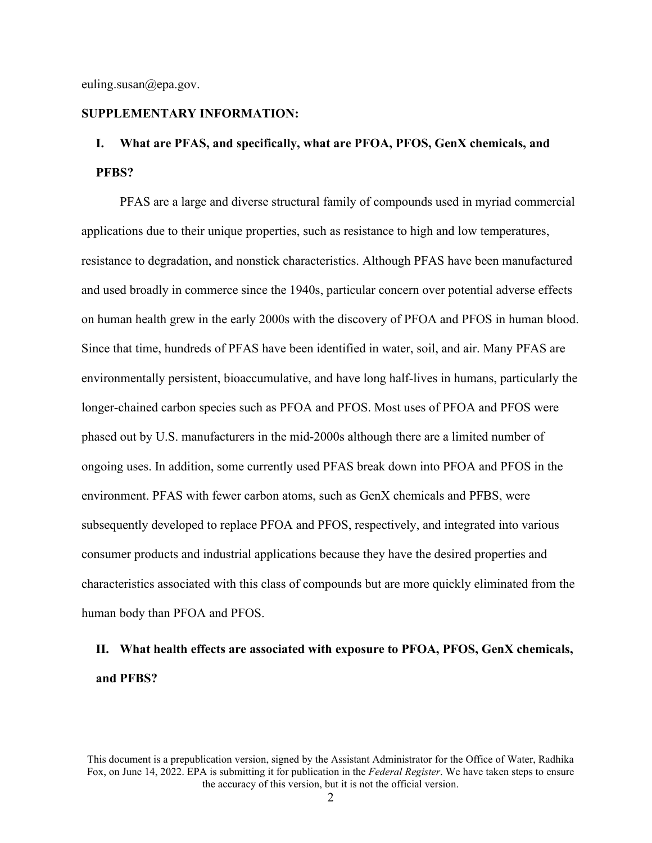euling.susan@epa.gov.

# **SUPPLEMENTARY INFORMATION:**

# **I. What are PFAS, and specifically, what are PFOA, PFOS, GenX chemicals, and PFBS?**

PFAS are a large and diverse structural family of compounds used in myriad commercial applications due to their unique properties, such as resistance to high and low temperatures, resistance to degradation, and nonstick characteristics. Although PFAS have been manufactured and used broadly in commerce since the 1940s, particular concern over potential adverse effects on human health grew in the early 2000s with the discovery of PFOA and PFOS in human blood. Since that time, hundreds of PFAS have been identified in water, soil, and air. Many PFAS are environmentally persistent, bioaccumulative, and have long half-lives in humans, particularly the longer-chained carbon species such as PFOA and PFOS. Most uses of PFOA and PFOS were phased out by U.S. manufacturers in the mid-2000s although there are a limited number of ongoing uses. In addition, some currently used PFAS break down into PFOA and PFOS in the environment. PFAS with fewer carbon atoms, such as GenX chemicals and PFBS, were subsequently developed to replace PFOA and PFOS, respectively, and integrated into various consumer products and industrial applications because they have the desired properties and characteristics associated with this class of compounds but are more quickly eliminated from the human body than PFOA and PFOS.

# **II. What health effects are associated with exposure to PFOA, PFOS, GenX chemicals, and PFBS?**

This document is a prepublication version, signed by the Assistant Administrator for the Office of Water, Radhika Fox, on June 14, 2022. EPA is submitting it for publication in the *Federal Register*. We have taken steps to ensure the accuracy of this version, but it is not the official version.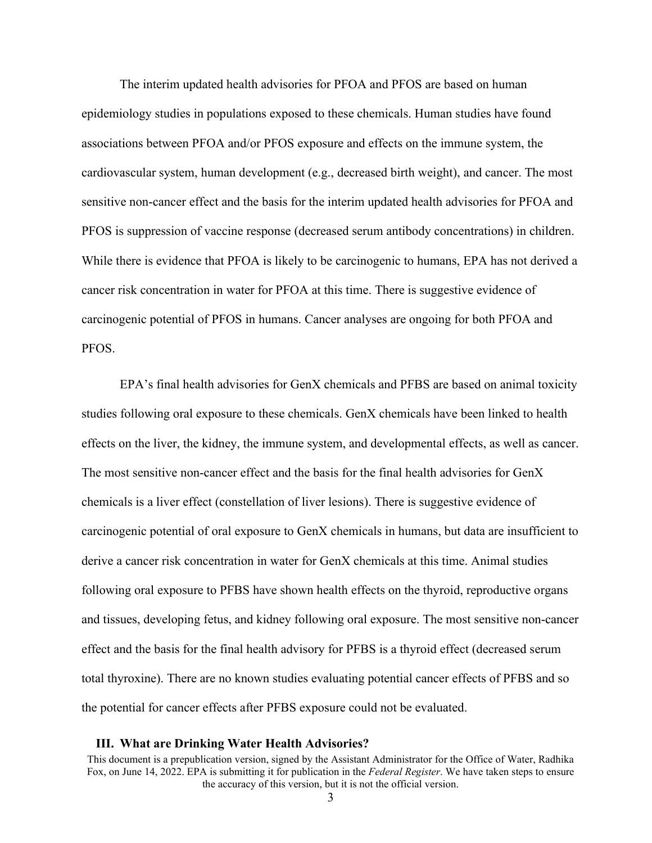The interim updated health advisories for PFOA and PFOS are based on human epidemiology studies in populations exposed to these chemicals. Human studies have found associations between PFOA and/or PFOS exposure and effects on the immune system, the cardiovascular system, human development (e.g., decreased birth weight), and cancer. The most sensitive non-cancer effect and the basis for the interim updated health advisories for PFOA and PFOS is suppression of vaccine response (decreased serum antibody concentrations) in children. While there is evidence that PFOA is likely to be carcinogenic to humans, EPA has not derived a cancer risk concentration in water for PFOA at this time. There is suggestive evidence of carcinogenic potential of PFOS in humans. Cancer analyses are ongoing for both PFOA and PFOS.

EPA's final health advisories for GenX chemicals and PFBS are based on animal toxicity studies following oral exposure to these chemicals. GenX chemicals have been linked to health effects on the liver, the kidney, the immune system, and developmental effects, as well as cancer. The most sensitive non-cancer effect and the basis for the final health advisories for GenX chemicals is a liver effect (constellation of liver lesions). There is suggestive evidence of carcinogenic potential of oral exposure to GenX chemicals in humans, but data are insufficient to derive a cancer risk concentration in water for GenX chemicals at this time. Animal studies following oral exposure to PFBS have shown health effects on the thyroid, reproductive organs and tissues, developing fetus, and kidney following oral exposure. The most sensitive non-cancer effect and the basis for the final health advisory for PFBS is a thyroid effect (decreased serum total thyroxine). There are no known studies evaluating potential cancer effects of PFBS and so the potential for cancer effects after PFBS exposure could not be evaluated.

#### **III. What are Drinking Water Health Advisories?**

This document is a prepublication version, signed by the Assistant Administrator for the Office of Water, Radhika Fox, on June 14, 2022. EPA is submitting it for publication in the *Federal Register*. We have taken steps to ensure the accuracy of this version, but it is not the official version.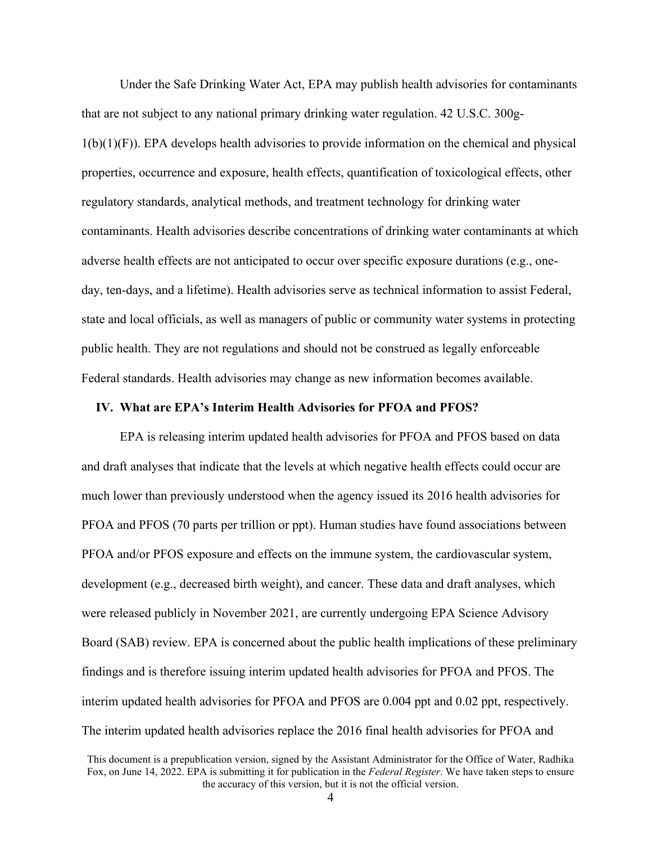Under the Safe Drinking Water Act, EPA may publish health advisories for contaminants that are not subject to any national primary drinking water regulation. 42 U.S.C. 300g- $1(b)(1)(F)$ ). EPA develops health advisories to provide information on the chemical and physical properties, occurrence and exposure, health effects, quantification of toxicological effects, other regulatory standards, analytical methods, and treatment technology for drinking water contaminants. Health advisories describe concentrations of drinking water contaminants at which adverse health effects are not anticipated to occur over specific exposure durations (e.g., oneday, ten-days, and a lifetime). Health advisories serve as technical information to assist Federal, state and local officials, as well as managers of public or community water systems in protecting public health. They are not regulations and should not be construed as legally enforceable Federal standards. Health advisories may change as new information becomes available.

### **IV. What are EPA's Interim Health Advisories for PFOA and PFOS?**

EPA is releasing interim updated health advisories for PFOA and PFOS based on data and draft analyses that indicate that the levels at which negative health effects could occur are much lower than previously understood when the agency issued its 2016 health advisories for PFOA and PFOS (70 parts per trillion or ppt). Human studies have found associations between PFOA and/or PFOS exposure and effects on the immune system, the cardiovascular system, development (e.g., decreased birth weight), and cancer. These data and draft analyses, which were released publicly in November 2021, are currently undergoing EPA Science Advisory Board (SAB) review. EPA is concerned about the public health implications of these preliminary findings and is therefore issuing interim updated health advisories for PFOA and PFOS. The interim updated health advisories for PFOA and PFOS are 0.004 ppt and 0.02 ppt, respectively. The interim updated health advisories replace the 2016 final health advisories for PFOA and

This document is a prepublication version, signed by the Assistant Administrator for the Office of Water, Radhika Fox, on June 14, 2022. EPA is submitting it for publication in the *Federal Register*. We have taken steps to ensure the accuracy of this version, but it is not the official version.